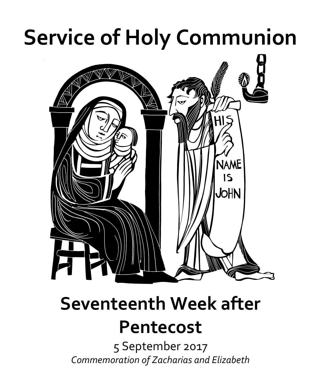## **Service of Holy Communion**



# **Seventeenth Week after**

### **Pentecost**

5 September 2017 *Commemoration of Zacharias and Elizabeth*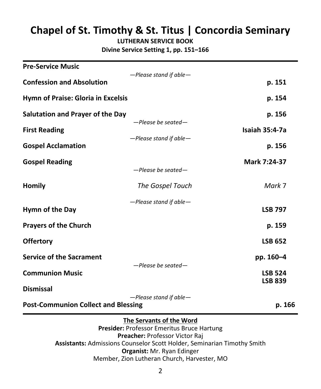### **Chapel of St. Timothy & St. Titus | Concordia Seminary**

**LUTHERAN SERVICE BOOK Divine Service Setting 1, pp. 151–166**

| <b>Pre-Service Music</b>                   |                          |                                  |
|--------------------------------------------|--------------------------|----------------------------------|
| <b>Confession and Absolution</b>           | -Please stand if able-   | p. 151                           |
| Hymn of Praise: Gloria in Excelsis         |                          | p. 154                           |
| <b>Salutation and Prayer of the Day</b>    |                          | p. 156                           |
| <b>First Reading</b>                       | $-$ Please be seated $-$ | <b>Isaiah 35:4-7a</b>            |
| <b>Gospel Acclamation</b>                  | -Please stand if able-   | p. 156                           |
| <b>Gospel Reading</b>                      | -Please be seated-       | Mark 7:24-37                     |
| Homily                                     | The Gospel Touch         | Mark 7                           |
| Hymn of the Day                            | -Please stand if able-   | <b>LSB 797</b>                   |
| <b>Prayers of the Church</b>               |                          | p. 159                           |
| <b>Offertory</b>                           |                          | <b>LSB 652</b>                   |
| <b>Service of the Sacrament</b>            |                          | pp. 160-4                        |
| <b>Communion Music</b>                     | -Please be seated-       | <b>LSB 524</b><br><b>LSB 839</b> |
| <b>Dismissal</b>                           | -Please stand if able-   |                                  |
| <b>Post-Communion Collect and Blessing</b> |                          | p. 166                           |

#### **The Servants of the Word**

**Presider:** Professor Emeritus Bruce Hartung **Preacher:** Professor Victor Raj **Assistants:** Admissions Counselor Scott Holder, Seminarian Timothy Smith **Organist:** Mr. Ryan Edinger Member, Zion Lutheran Church, Harvester, MO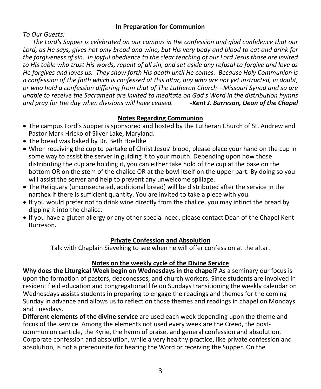#### **In Preparation for Communion**

*To Our Guests:*

 *The Lord's Supper is celebrated on our campus in the confession and glad confidence that our Lord, as He says, gives not only bread and wine, but His very body and blood to eat and drink for the forgiveness of sin. In joyful obedience to the clear teaching of our Lord Jesus those are invited to His table who trust His words, repent of all sin, and set aside any refusal to forgive and love as He forgives and loves us. They show forth His death until He comes. Because Holy Communion is a confession of the faith which is confessed at this altar, any who are not yet instructed, in doubt, or who hold a confession differing from that of The Lutheran Church—Missouri Synod and so are unable to receive the Sacrament are invited to meditate on God's Word in the distribution hymns and pray for the day when divisions will have ceased. -Kent J. Burreson, Dean of the Chapel*

#### **Notes Regarding Communion**

- The campus Lord's Supper is sponsored and hosted by the Lutheran Church of St. Andrew and Pastor Mark Hricko of Silver Lake, Maryland.
- The bread was baked by Dr. Beth Hoeltke
- When receiving the cup to partake of Christ Jesus' blood, please place your hand on the cup in some way to assist the server in guiding it to your mouth. Depending upon how those distributing the cup are holding it, you can either take hold of the cup at the base on the bottom OR on the stem of the chalice OR at the bowl itself on the upper part. By doing so you will assist the server and help to prevent any unwelcome spillage.
- The Reliquary (unconsecrated, additional bread) will be distributed after the service in the narthex if there is sufficient quantity. You are invited to take a piece with you.
- If you would prefer not to drink wine directly from the chalice, you may intinct the bread by dipping it into the chalice.
- If you have a gluten allergy or any other special need, please contact Dean of the Chapel Kent Burreson.

#### **Private Confession and Absolution**

Talk with Chaplain Sieveking to see when he will offer confession at the altar.

#### **Notes on the weekly cycle of the Divine Service**

**Why does the Liturgical Week begin on Wednesdays in the chapel?** As a seminary our focus is upon the formation of pastors, deaconesses, and church workers. Since students are involved in resident field education and congregational life on Sundays transitioning the weekly calendar on Wednesdays assists students in preparing to engage the readings and themes for the coming Sunday in advance and allows us to reflect on those themes and readings in chapel on Mondays and Tuesdays.

**Different elements of the divine service** are used each week depending upon the theme and focus of the service. Among the elements not used every week are the Creed, the postcommunion canticle, the Kyrie, the hymn of praise, and general confession and absolution. Corporate confession and absolution, while a very healthy practice, like private confession and absolution, is not a prerequisite for hearing the Word or receiving the Supper. On the